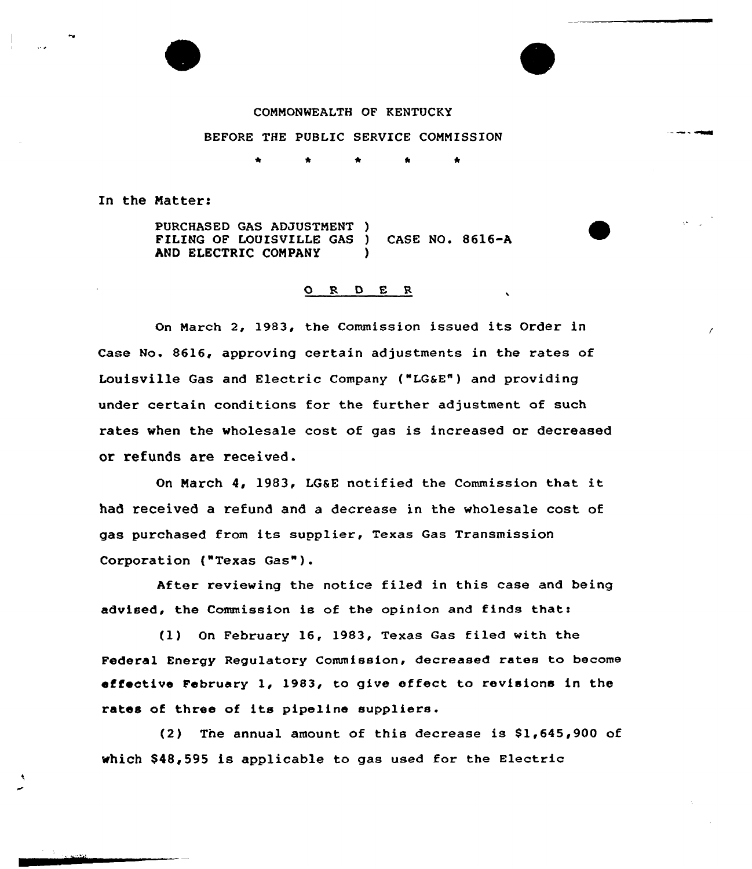## COMMONWEALTH OF KENTUCKY

## BEFORE THE PUBLIC SERVICE CONNISSION

## In the Matter:

PURCHASED GAS ADJUSTNENT ) FILING OF LOUISVILLE GAS ) CASE NO. 8616-A AND ELECTRIC COMPANY )

## ORDER

On March 2, 1983, the Commission issued its Order in Case No. 8616, approving certain adjustments in the rates of Louisville Gas and Electric Company ("LG&E"} and providing under certain conditions for the further adjustment of such rates when the wholesale cost of gas is increased or decreased or refunds are received.

On March 4, 1983, LGSE notified the Commission that it had received a refund and a decrease in the wholesale cost of gas purchased from its supplier, Texas Gas Transmission Corporation ("Texas Gas").

After reviewing the notice filed in this case and being advised, the Commission is of the opinion and finds that:

(1) On February 16, 1983, Texas Gas filed with the Federal Energy Regulatory Commission, decreased rates to become effective February 1, 1983, to give effect to revisions in the rates of three of its pipeline suppliers.

(2) The annual amount of this decrease is  $$1,645,900$  of which \$48,595 is applicable to gas used for the Electric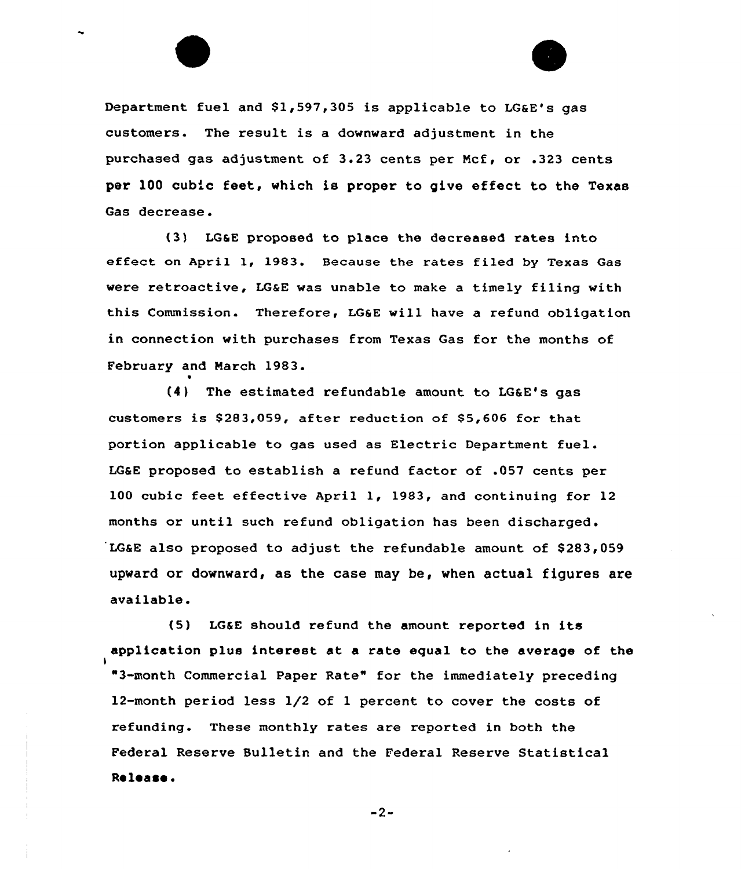Department fuel and \$1,597,305 is applicable to LG&E's gas customers. The result is a downward adjustment in the purchased gas adjustment of 3.23 cents per Ncf, or .323 cents per 100 cubic feet, which is proper to give effect to the Texas Gas decrease.

(3) LQ&E proposed to place the decreased rates into effect on April 1, 1983. Because the rates filed by Texas Gas were retroactive, LG&E was unable to make a timely filing with this Commission. Therefore, LG&E will have a refund obligation in connection with purchases from Texas Gas for the months of February and March 1983.

0

I

(4} The estimated refundable amount to LG&E's gas customers is \$283,059, after reduction of \$5,606 for that portion applicable to gas used as Electric Department fuel. LG&E proposed to establish a refund factor of .057 cents per 100 cubic feet effective April 1, 1983, and continuing for 12 months or until such refund obligation has been discharged. LG&E also proposed to adjust the refundable amount of \$283,059 upward or downward, as the case may be, when actual figures are available.

(5) LG&E should refund the amount reported in its application plus interest at a rate equal to the average of the "3-month Commercial Paper Rate" for the immediately preceding 12-month period less 1/2 of 1 percent to cover the costs of refunding. These monthly rates are reported in both the Federal Reserve Bulletin and the Federal Reserve Statistical Release

 $-2-$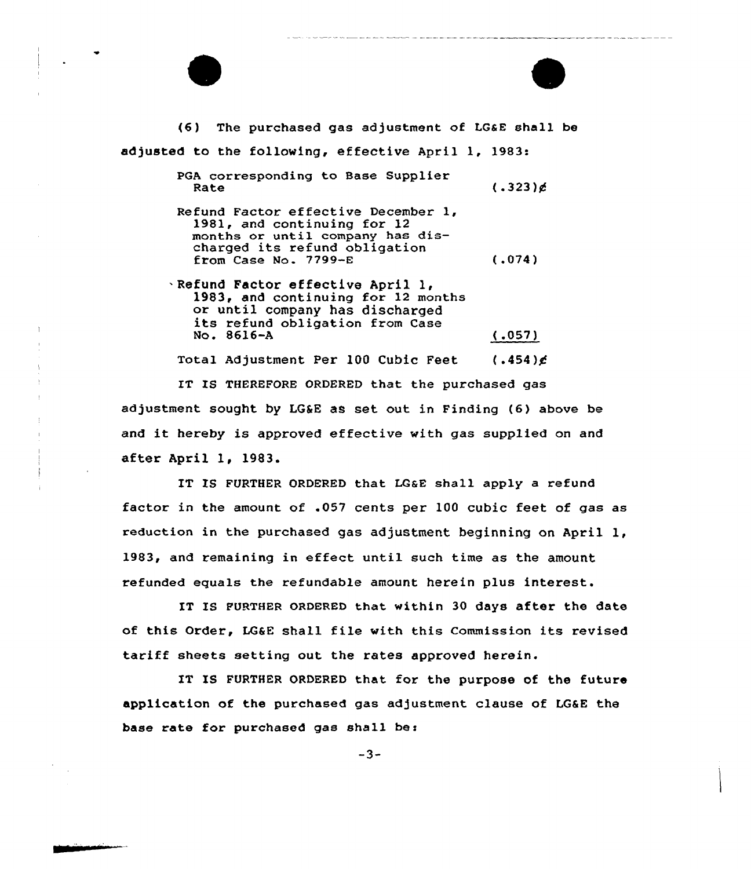(6) The purchased gas adjustment of LG&E shall be adjusted to the following, effective April 1, 1983: PGA corresponding to Base Supplier Rate Refund Factor effective December 1981, and continuing for 12 months or until company has discharged its refund obligation from Case No. 7799-E <sup>~</sup> Refund Factor effective April 1, 1983, and continuing for <sup>12</sup> months or until company has discharged its refund obligation from Case No. 8616-A  $(.323)$ g (.074)  $(.057)$ Total Adjustment Per 100 Cubic Feet  $(.454)$ g

IT IS THEREFORE ORDERED that the purchased gas adjustment sought by LG&E as set out in Finding  $(6)$  above be and it hereby is approved effective with gas supplied on and after April 1, 1983.

IT IS FURTHER ORDERED that LQ&E shall apply a refund factor in the amount of .057 cents per 100 cubic feet of gas as reduction in the purchased gas adjustment beginning on April 1, 1983, and remaining in effect until such time as the amount refunded equals the refundable amount herein plus interest.

IT IS FURTHER ORDERED that within 30 days after the date of this Order, LG&E shall file with this Commission its revised tariff sheets setting out the rates approved herein.

IT IS FURTHER ORDERED that for the purpose of the future application of the purchased gas adjustment clause of LG&E the base rate for purchased gas shall be: